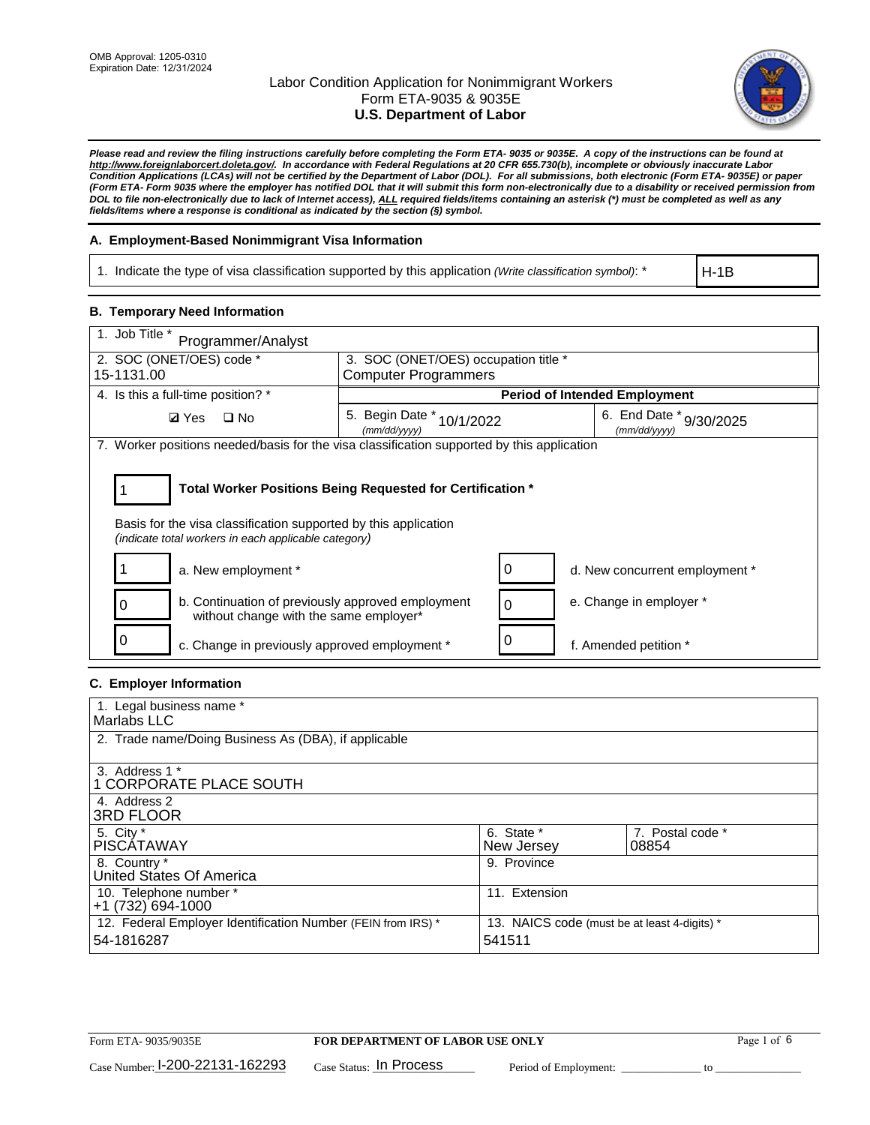

*Please read and review the filing instructions carefully before completing the Form ETA- 9035 or 9035E. A copy of the instructions can be found at http://www.foreignlaborcert.doleta.gov/. In accordance with Federal Regulations at 20 CFR 655.730(b), incomplete or obviously inaccurate Labor Condition Applications (LCAs) will not be certified by the Department of Labor (DOL). For all submissions, both electronic (Form ETA- 9035E) or paper (Form ETA- Form 9035 where the employer has notified DOL that it will submit this form non-electronically due to a disability or received permission from DOL to file non-electronically due to lack of Internet access), ALL required fields/items containing an asterisk (\*) must be completed as well as any fields/items where a response is conditional as indicated by the section (§) symbol.* 

### **A. Employment-Based Nonimmigrant Visa Information**

1. Indicate the type of visa classification supported by this application *(Write classification symbol)*: \*

H-1B

#### **B. Temporary Need Information**

| 1. Job Title *<br>Programmer/Analyst                                                                                                                                                  |                                              |   |                                         |  |  |
|---------------------------------------------------------------------------------------------------------------------------------------------------------------------------------------|----------------------------------------------|---|-----------------------------------------|--|--|
| 2. SOC (ONET/OES) code *                                                                                                                                                              | 3. SOC (ONET/OES) occupation title *         |   |                                         |  |  |
| 15-1131.00                                                                                                                                                                            | <b>Computer Programmers</b>                  |   |                                         |  |  |
| 4. Is this a full-time position? *                                                                                                                                                    |                                              |   | <b>Period of Intended Employment</b>    |  |  |
| $\Box$ No<br><b>Ø</b> Yes                                                                                                                                                             | 5. Begin Date *<br>10/1/2022<br>(mm/dd/yyyy) |   | 6. End Date * 9/30/2025<br>(mm/dd/vvvv) |  |  |
| 7. Worker positions needed/basis for the visa classification supported by this application                                                                                            |                                              |   |                                         |  |  |
| Total Worker Positions Being Requested for Certification *<br>Basis for the visa classification supported by this application<br>(indicate total workers in each applicable category) |                                              |   |                                         |  |  |
| a. New employment *                                                                                                                                                                   |                                              | 0 | d. New concurrent employment *          |  |  |
| b. Continuation of previously approved employment<br>without change with the same employer*                                                                                           |                                              | 0 | e. Change in employer *                 |  |  |
| c. Change in previously approved employment *                                                                                                                                         |                                              |   | f. Amended petition *                   |  |  |

### **C. Employer Information**

| 1. Legal business name *                                     |                                              |                  |
|--------------------------------------------------------------|----------------------------------------------|------------------|
| Marlabs LLC                                                  |                                              |                  |
|                                                              |                                              |                  |
| 2. Trade name/Doing Business As (DBA), if applicable         |                                              |                  |
|                                                              |                                              |                  |
| 3. Address 1 *                                               |                                              |                  |
| 1 CORPORATE PLACE SOUTH                                      |                                              |                  |
| 4. Address 2                                                 |                                              |                  |
| <b>3RD FLOOR</b>                                             |                                              |                  |
| 5. City *                                                    | 6. State *                                   | 7. Postal code * |
| PISCÁTAWAY                                                   | New Jersey                                   | 08854            |
| 8. Country *                                                 | 9. Province                                  |                  |
| United States Of America                                     |                                              |                  |
| 10. Telephone number *                                       | 11. Extension                                |                  |
| +1 (732) 694-1000                                            |                                              |                  |
| 12. Federal Employer Identification Number (FEIN from IRS) * | 13. NAICS code (must be at least 4-digits) * |                  |
| 54-1816287                                                   | 541511                                       |                  |
|                                                              |                                              |                  |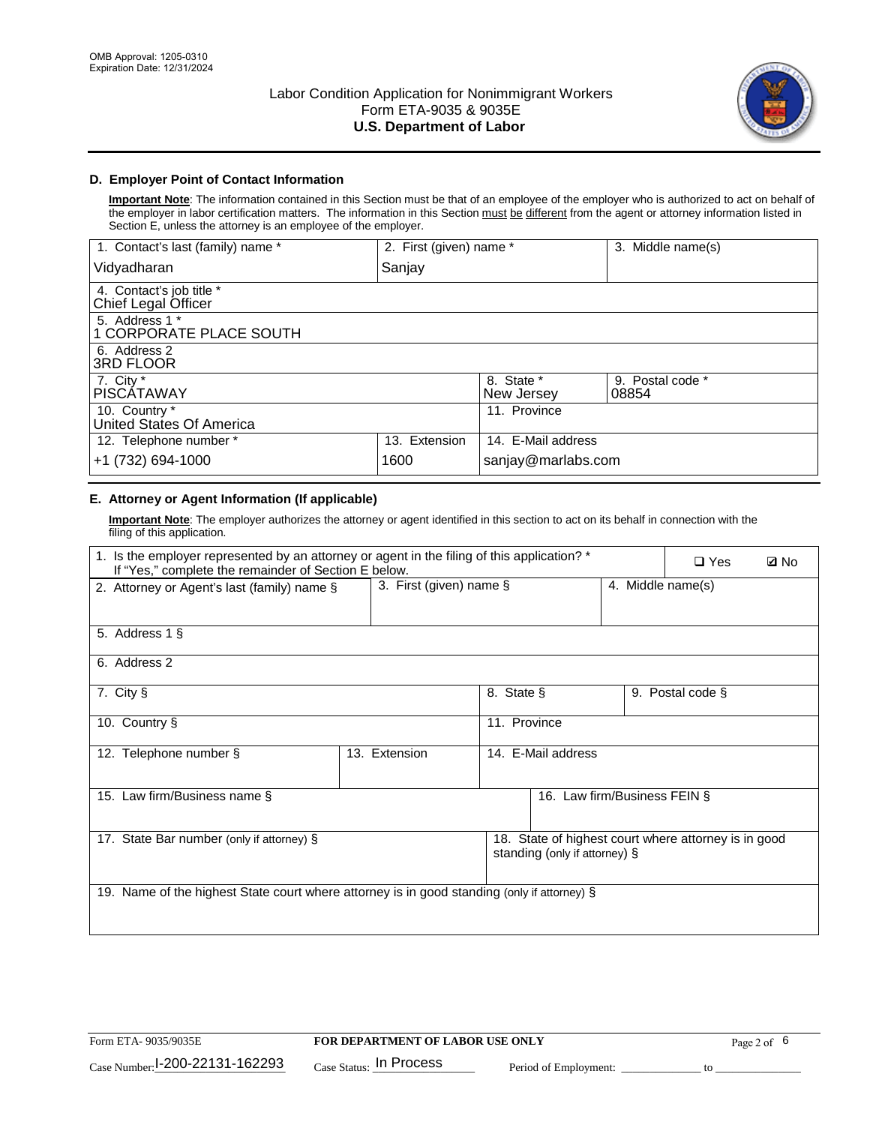

### **D. Employer Point of Contact Information**

**Important Note**: The information contained in this Section must be that of an employee of the employer who is authorized to act on behalf of the employer in labor certification matters. The information in this Section must be different from the agent or attorney information listed in Section E, unless the attorney is an employee of the employer.

| 1. Contact's last (family) name *               | 2. First (given) name * |                          | 3. Middle name(s)         |
|-------------------------------------------------|-------------------------|--------------------------|---------------------------|
| Vidyadharan                                     | Sanjay                  |                          |                           |
| 4. Contact's job title *<br>Chief Legal Officer |                         |                          |                           |
| 5. Address 1 *<br>1 CORPORATE PLACE SOUTH       |                         |                          |                           |
| 6. Address 2<br>3RD FLOOR                       |                         |                          |                           |
| 7. City $*$<br><b>PISCÁTAWAY</b>                |                         | 8. State *<br>New Jersey | 9. Postal code *<br>08854 |
| 10. Country *<br>United States Of America       |                         | 11. Province             |                           |
| 12. Telephone number *                          | 13. Extension           | 14. E-Mail address       |                           |
| +1 (732) 694-1000                               | 1600                    | sanjay@marlabs.com       |                           |

## **E. Attorney or Agent Information (If applicable)**

**Important Note**: The employer authorizes the attorney or agent identified in this section to act on its behalf in connection with the filing of this application.

| 1. Is the employer represented by an attorney or agent in the filing of this application? *<br>If "Yes," complete the remainder of Section E below. |                            |              |                               |                   | $\Box$ Yes                                           | <b>Ø</b> No |
|-----------------------------------------------------------------------------------------------------------------------------------------------------|----------------------------|--------------|-------------------------------|-------------------|------------------------------------------------------|-------------|
| 2. Attorney or Agent's last (family) name §                                                                                                         | 3. First (given) name $\S$ |              |                               | 4. Middle name(s) |                                                      |             |
| 5. Address 1 §                                                                                                                                      |                            |              |                               |                   |                                                      |             |
| 6. Address 2                                                                                                                                        |                            |              |                               |                   |                                                      |             |
| 7. City §                                                                                                                                           |                            | 8. State §   |                               |                   | 9. Postal code §                                     |             |
| 10. Country §                                                                                                                                       |                            | 11. Province |                               |                   |                                                      |             |
| 12. Telephone number §                                                                                                                              | 13. Extension              |              | 14. E-Mail address            |                   |                                                      |             |
| 15. Law firm/Business name §                                                                                                                        |                            |              | 16. Law firm/Business FEIN §  |                   |                                                      |             |
| 17. State Bar number (only if attorney) §                                                                                                           |                            |              | standing (only if attorney) § |                   | 18. State of highest court where attorney is in good |             |
| 19. Name of the highest State court where attorney is in good standing (only if attorney) §                                                         |                            |              |                               |                   |                                                      |             |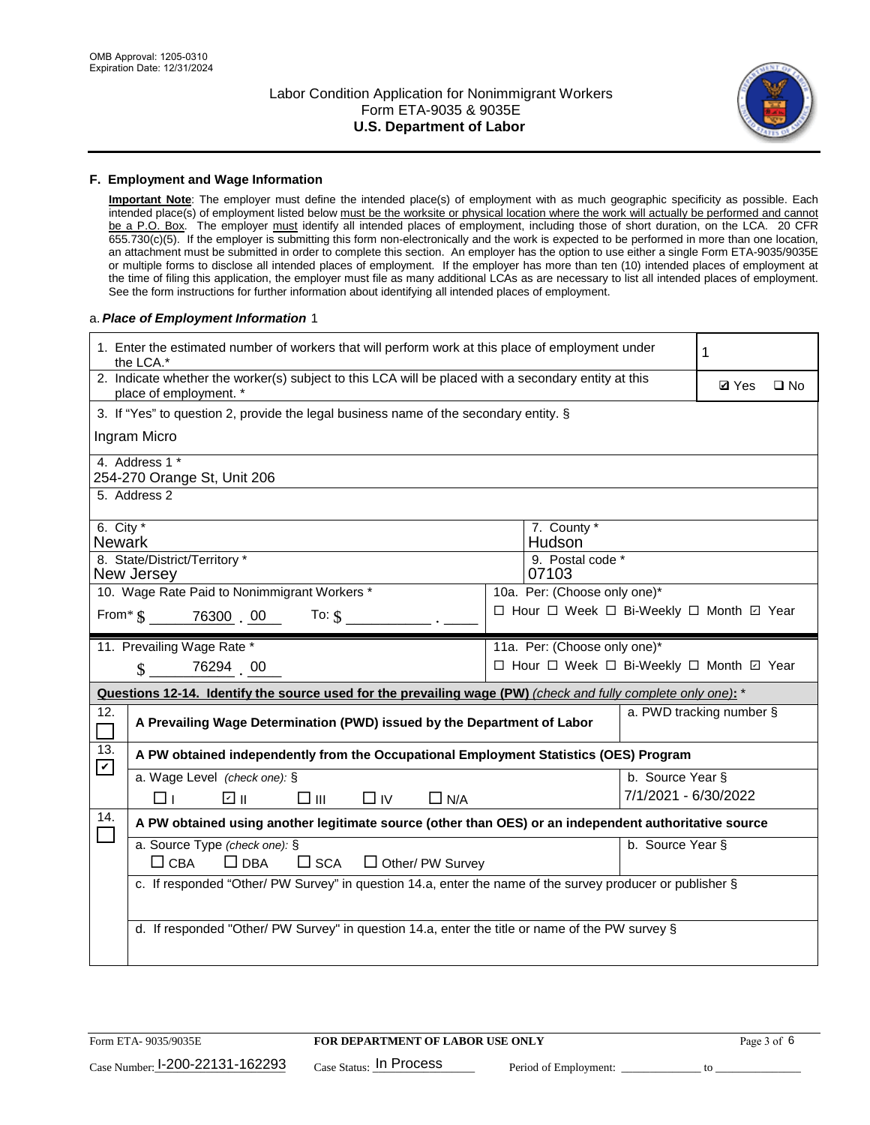

#### **F. Employment and Wage Information**

**Important Note**: The employer must define the intended place(s) of employment with as much geographic specificity as possible. Each intended place(s) of employment listed below must be the worksite or physical location where the work will actually be performed and cannot be a P.O. Box. The employer must identify all intended places of employment, including those of short duration, on the LCA. 20 CFR 655.730(c)(5). If the employer is submitting this form non-electronically and the work is expected to be performed in more than one location, an attachment must be submitted in order to complete this section. An employer has the option to use either a single Form ETA-9035/9035E or multiple forms to disclose all intended places of employment. If the employer has more than ten (10) intended places of employment at the time of filing this application, the employer must file as many additional LCAs as are necessary to list all intended places of employment. See the form instructions for further information about identifying all intended places of employment.

#### a.*Place of Employment Information* 1

|                                    | 1. Enter the estimated number of workers that will perform work at this place of employment under<br>the LCA.*                 |                                          | 1                    |                          |  |  |  |
|------------------------------------|--------------------------------------------------------------------------------------------------------------------------------|------------------------------------------|----------------------|--------------------------|--|--|--|
|                                    | 2. Indicate whether the worker(s) subject to this LCA will be placed with a secondary entity at this<br>place of employment. * |                                          | <b>Ø</b> Yes         | $\square$ No             |  |  |  |
|                                    | 3. If "Yes" to question 2, provide the legal business name of the secondary entity. §                                          |                                          |                      |                          |  |  |  |
|                                    | Ingram Micro                                                                                                                   |                                          |                      |                          |  |  |  |
|                                    | 4. Address 1 *<br>254-270 Orange St, Unit 206                                                                                  |                                          |                      |                          |  |  |  |
|                                    | 5. Address 2                                                                                                                   |                                          |                      |                          |  |  |  |
|                                    | 6. City $*$<br>7. County *<br>Hudson<br><b>Newark</b><br>8. State/District/Territory *<br>9. Postal code *                     |                                          |                      |                          |  |  |  |
| 07103<br>New Jersey                |                                                                                                                                |                                          |                      |                          |  |  |  |
|                                    | 10. Wage Rate Paid to Nonimmigrant Workers *<br>10a. Per: (Choose only one)*                                                   |                                          |                      |                          |  |  |  |
|                                    | □ Hour □ Week □ Bi-Weekly □ Month 回 Year<br>From * \$ 76300 00<br>To: $$$                                                      |                                          |                      |                          |  |  |  |
|                                    | 11. Prevailing Wage Rate *<br>11a. Per: (Choose only one)*                                                                     |                                          |                      |                          |  |  |  |
|                                    | 76294 00<br>$\mathbf{\hat{S}}$                                                                                                 | □ Hour □ Week □ Bi-Weekly □ Month ☑ Year |                      |                          |  |  |  |
|                                    | Questions 12-14. Identify the source used for the prevailing wage (PW) (check and fully complete only one): *                  |                                          |                      |                          |  |  |  |
| 12.<br>$\mathcal{L}_{\mathcal{A}}$ | A Prevailing Wage Determination (PWD) issued by the Department of Labor                                                        |                                          |                      | a. PWD tracking number § |  |  |  |
| 13.<br>$\mathbf v$                 | A PW obtained independently from the Occupational Employment Statistics (OES) Program                                          |                                          |                      |                          |  |  |  |
|                                    | a. Wage Level (check one): §                                                                                                   |                                          | b. Source Year §     |                          |  |  |  |
|                                    | लि ॥<br>□⊪<br>$\Box$ IV<br>$\Box$ N/A<br>$\Box$ l                                                                              |                                          | 7/1/2021 - 6/30/2022 |                          |  |  |  |
| 14.                                | A PW obtained using another legitimate source (other than OES) or an independent authoritative source                          |                                          |                      |                          |  |  |  |
|                                    | a. Source Type (check one): §<br>$\Box$ CBA<br>$\Box$ DBA<br>$\square$ SCA<br>$\Box$ Other/ PW Survey                          |                                          | b. Source Year §     |                          |  |  |  |
|                                    | c. If responded "Other/ PW Survey" in question 14.a, enter the name of the survey producer or publisher §                      |                                          |                      |                          |  |  |  |
|                                    | d. If responded "Other/ PW Survey" in question 14.a, enter the title or name of the PW survey §                                |                                          |                      |                          |  |  |  |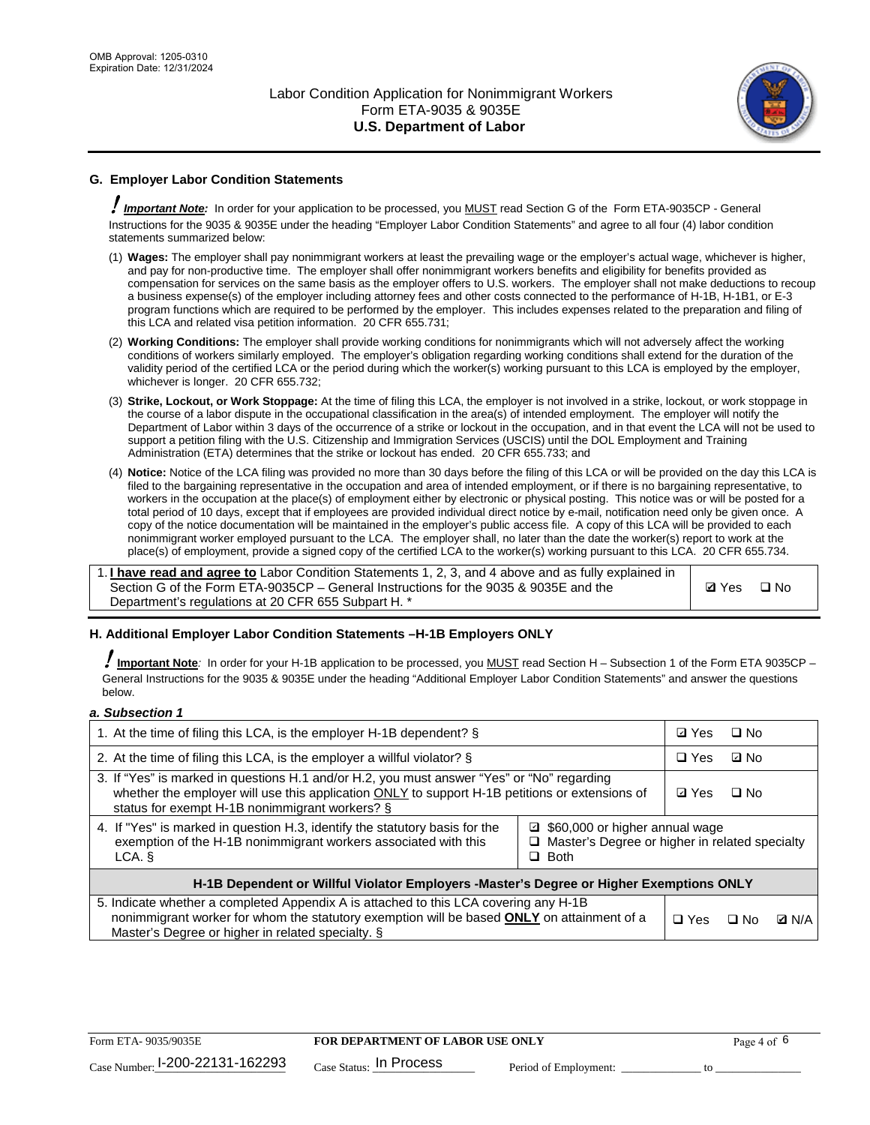

## **G. Employer Labor Condition Statements**

! *Important Note:* In order for your application to be processed, you MUST read Section G of the Form ETA-9035CP - General Instructions for the 9035 & 9035E under the heading "Employer Labor Condition Statements" and agree to all four (4) labor condition statements summarized below:

- (1) **Wages:** The employer shall pay nonimmigrant workers at least the prevailing wage or the employer's actual wage, whichever is higher, and pay for non-productive time. The employer shall offer nonimmigrant workers benefits and eligibility for benefits provided as compensation for services on the same basis as the employer offers to U.S. workers. The employer shall not make deductions to recoup a business expense(s) of the employer including attorney fees and other costs connected to the performance of H-1B, H-1B1, or E-3 program functions which are required to be performed by the employer. This includes expenses related to the preparation and filing of this LCA and related visa petition information. 20 CFR 655.731;
- (2) **Working Conditions:** The employer shall provide working conditions for nonimmigrants which will not adversely affect the working conditions of workers similarly employed. The employer's obligation regarding working conditions shall extend for the duration of the validity period of the certified LCA or the period during which the worker(s) working pursuant to this LCA is employed by the employer, whichever is longer. 20 CFR 655.732;
- (3) **Strike, Lockout, or Work Stoppage:** At the time of filing this LCA, the employer is not involved in a strike, lockout, or work stoppage in the course of a labor dispute in the occupational classification in the area(s) of intended employment. The employer will notify the Department of Labor within 3 days of the occurrence of a strike or lockout in the occupation, and in that event the LCA will not be used to support a petition filing with the U.S. Citizenship and Immigration Services (USCIS) until the DOL Employment and Training Administration (ETA) determines that the strike or lockout has ended. 20 CFR 655.733; and
- (4) **Notice:** Notice of the LCA filing was provided no more than 30 days before the filing of this LCA or will be provided on the day this LCA is filed to the bargaining representative in the occupation and area of intended employment, or if there is no bargaining representative, to workers in the occupation at the place(s) of employment either by electronic or physical posting. This notice was or will be posted for a total period of 10 days, except that if employees are provided individual direct notice by e-mail, notification need only be given once. A copy of the notice documentation will be maintained in the employer's public access file. A copy of this LCA will be provided to each nonimmigrant worker employed pursuant to the LCA. The employer shall, no later than the date the worker(s) report to work at the place(s) of employment, provide a signed copy of the certified LCA to the worker(s) working pursuant to this LCA. 20 CFR 655.734.

1. **I have read and agree to** Labor Condition Statements 1, 2, 3, and 4 above and as fully explained in Section G of the Form ETA-9035CP – General Instructions for the 9035 & 9035E and the Department's regulations at 20 CFR 655 Subpart H. \*

**Ø**Yes ロNo

#### **H. Additional Employer Labor Condition Statements –H-1B Employers ONLY**

!**Important Note***:* In order for your H-1B application to be processed, you MUST read Section H – Subsection 1 of the Form ETA 9035CP – General Instructions for the 9035 & 9035E under the heading "Additional Employer Labor Condition Statements" and answer the questions below.

#### *a. Subsection 1*

| 1. At the time of filing this LCA, is the employer H-1B dependent? §                                                                                                                                                                                               | ⊡ Yes      | $\Box$ No |              |  |
|--------------------------------------------------------------------------------------------------------------------------------------------------------------------------------------------------------------------------------------------------------------------|------------|-----------|--------------|--|
| 2. At the time of filing this LCA, is the employer a willful violator? $\S$                                                                                                                                                                                        |            |           | ⊡ No         |  |
| 3. If "Yes" is marked in questions H.1 and/or H.2, you must answer "Yes" or "No" regarding<br>whether the employer will use this application ONLY to support H-1B petitions or extensions of<br>status for exempt H-1B nonimmigrant workers? §                     |            |           | $\Box$ No    |  |
| 4. If "Yes" is marked in question H.3, identify the statutory basis for the<br>□ \$60,000 or higher annual wage<br>exemption of the H-1B nonimmigrant workers associated with this<br>$\Box$ Master's Degree or higher in related specialty<br>$\Box$ Both<br>LCA. |            |           |              |  |
| H-1B Dependent or Willful Violator Employers -Master's Degree or Higher Exemptions ONLY                                                                                                                                                                            |            |           |              |  |
| 5. Indicate whether a completed Appendix A is attached to this LCA covering any H-1B<br>nonimmigrant worker for whom the statutory exemption will be based <b>ONLY</b> on attainment of a<br>Master's Degree or higher in related specialty. §                     | $\Box$ Yes | ⊡ No      | <b>D</b> N/A |  |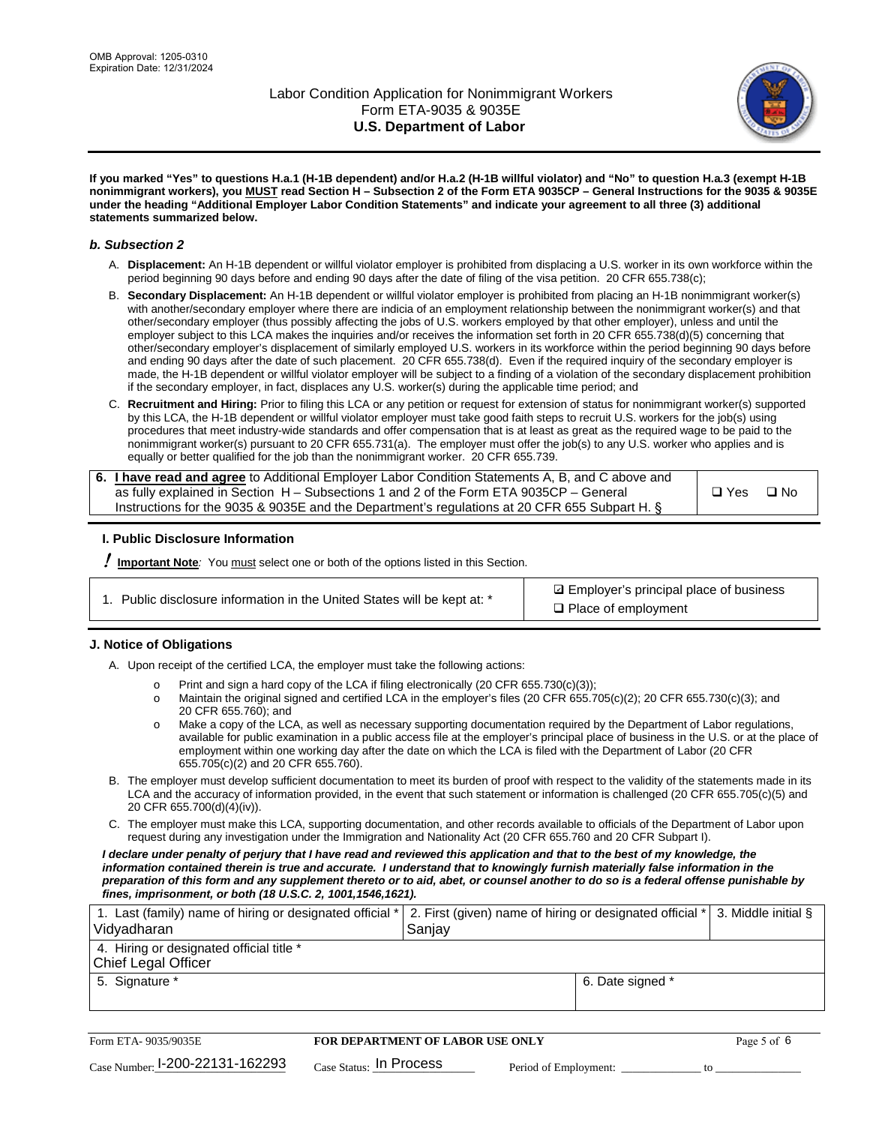

**If you marked "Yes" to questions H.a.1 (H-1B dependent) and/or H.a.2 (H-1B willful violator) and "No" to question H.a.3 (exempt H-1B nonimmigrant workers), you MUST read Section H – Subsection 2 of the Form ETA 9035CP – General Instructions for the 9035 & 9035E under the heading "Additional Employer Labor Condition Statements" and indicate your agreement to all three (3) additional statements summarized below.**

#### *b. Subsection 2*

- A. **Displacement:** An H-1B dependent or willful violator employer is prohibited from displacing a U.S. worker in its own workforce within the period beginning 90 days before and ending 90 days after the date of filing of the visa petition. 20 CFR 655.738(c);
- B. **Secondary Displacement:** An H-1B dependent or willful violator employer is prohibited from placing an H-1B nonimmigrant worker(s) with another/secondary employer where there are indicia of an employment relationship between the nonimmigrant worker(s) and that other/secondary employer (thus possibly affecting the jobs of U.S. workers employed by that other employer), unless and until the employer subject to this LCA makes the inquiries and/or receives the information set forth in 20 CFR 655.738(d)(5) concerning that other/secondary employer's displacement of similarly employed U.S. workers in its workforce within the period beginning 90 days before and ending 90 days after the date of such placement. 20 CFR 655.738(d). Even if the required inquiry of the secondary employer is made, the H-1B dependent or willful violator employer will be subject to a finding of a violation of the secondary displacement prohibition if the secondary employer, in fact, displaces any U.S. worker(s) during the applicable time period; and
- C. **Recruitment and Hiring:** Prior to filing this LCA or any petition or request for extension of status for nonimmigrant worker(s) supported by this LCA, the H-1B dependent or willful violator employer must take good faith steps to recruit U.S. workers for the job(s) using procedures that meet industry-wide standards and offer compensation that is at least as great as the required wage to be paid to the nonimmigrant worker(s) pursuant to 20 CFR 655.731(a). The employer must offer the job(s) to any U.S. worker who applies and is equally or better qualified for the job than the nonimmigrant worker. 20 CFR 655.739.

| 6. I have read and agree to Additional Employer Labor Condition Statements A, B, and C above and |       |           |
|--------------------------------------------------------------------------------------------------|-------|-----------|
| as fully explained in Section H – Subsections 1 and 2 of the Form ETA 9035CP – General           | □ Yes | $\Box$ No |
| Instructions for the 9035 & 9035E and the Department's regulations at 20 CFR 655 Subpart H. §    |       |           |

#### **I. Public Disclosure Information**

! **Important Note***:* You must select one or both of the options listed in this Section.

| 1. Public disclosure information in the United States will be kept at: * |  |  |  |  |  |  |  |
|--------------------------------------------------------------------------|--|--|--|--|--|--|--|
|--------------------------------------------------------------------------|--|--|--|--|--|--|--|

**sqrt** Employer's principal place of business □ Place of employment

#### **J. Notice of Obligations**

A. Upon receipt of the certified LCA, the employer must take the following actions:

- o Print and sign a hard copy of the LCA if filing electronically (20 CFR 655.730(c)(3));<br>
Maintain the original signed and certified LCA in the employer's files (20 CFR 655.7
- Maintain the original signed and certified LCA in the employer's files (20 CFR 655.705(c)(2); 20 CFR 655.730(c)(3); and 20 CFR 655.760); and
- o Make a copy of the LCA, as well as necessary supporting documentation required by the Department of Labor regulations, available for public examination in a public access file at the employer's principal place of business in the U.S. or at the place of employment within one working day after the date on which the LCA is filed with the Department of Labor (20 CFR 655.705(c)(2) and 20 CFR 655.760).
- B. The employer must develop sufficient documentation to meet its burden of proof with respect to the validity of the statements made in its LCA and the accuracy of information provided, in the event that such statement or information is challenged (20 CFR 655.705(c)(5) and 20 CFR 655.700(d)(4)(iv)).
- C. The employer must make this LCA, supporting documentation, and other records available to officials of the Department of Labor upon request during any investigation under the Immigration and Nationality Act (20 CFR 655.760 and 20 CFR Subpart I).

*I declare under penalty of perjury that I have read and reviewed this application and that to the best of my knowledge, the*  information contained therein is true and accurate. I understand that to knowingly furnish materially false information in the *preparation of this form and any supplement thereto or to aid, abet, or counsel another to do so is a federal offense punishable by fines, imprisonment, or both (18 U.S.C. 2, 1001,1546,1621).*

| 1. Last (family) name of hiring or designated official *   2. First (given) name of hiring or designated official *   3. Middle initial §<br>Vidyadharan | Saniav           |  |
|----------------------------------------------------------------------------------------------------------------------------------------------------------|------------------|--|
| 4. Hiring or designated official title *<br>Chief Legal Officer                                                                                          |                  |  |
| 5. Signature *                                                                                                                                           | 6. Date signed * |  |

| Form ETA-9035/9035E                         | <b>FOR DEPARTMENT OF LABOR USE ONLY</b> |                       | Page 5 of 6 |
|---------------------------------------------|-----------------------------------------|-----------------------|-------------|
| $_{\text{Case Number:}}$ I-200-22131-162293 | $_{\rm Case~S status:}$ In Process      | Period of Employment: |             |